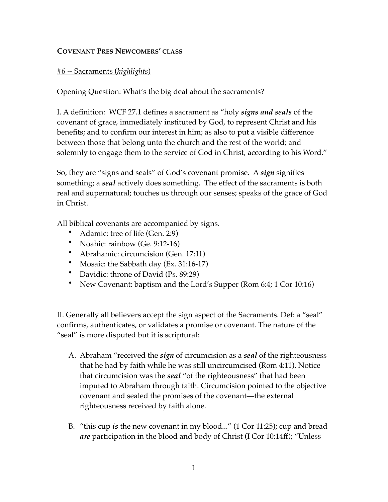## **COVENANT PRES NEWCOMERS' CLASS**

## #6 -- Sacraments (*highlights*)

Opening Question: What's the big deal about the sacraments?

I. A definition: WCF 27.1 defines a sacrament as "holy *signs and seals* of the covenant of grace, immediately instituted by God, to represent Christ and his benefits; and to confirm our interest in him; as also to put a visible difference between those that belong unto the church and the rest of the world; and solemnly to engage them to the service of God in Christ, according to his Word."

So, they are "signs and seals" of God's covenant promise. A *sign* signifies something; a *seal* actively does something. The effect of the sacraments is both real and supernatural; touches us through our senses; speaks of the grace of God in Christ.

All biblical covenants are accompanied by signs.

- Adamic: tree of life (Gen. 2:9)
- Noahic: rainbow (Ge. 9:12-16)
- Abrahamic: circumcision (Gen. 17:11)
- Mosaic: the Sabbath day (Ex. 31:16-17)
- Davidic: throne of David (Ps. 89:29)
- New Covenant: baptism and the Lord's Supper (Rom 6:4; 1 Cor 10:16)

II. Generally all believers accept the sign aspect of the Sacraments. Def: a "seal" confirms, authenticates, or validates a promise or covenant. The nature of the "seal" is more disputed but it is scriptural:

- A. Abraham "received the *sign* of circumcision as a *seal* of the righteousness that he had by faith while he was still uncircumcised (Rom 4:11). Notice that circumcision was the *seal* "of the righteousness" that had been imputed to Abraham through faith. Circumcision pointed to the objective covenant and sealed the promises of the covenant—the external righteousness received by faith alone.
- B. "this cup *is* the new covenant in my blood..." (1 Cor 11:25); cup and bread *are* participation in the blood and body of Christ (I Cor 10:14ff); "Unless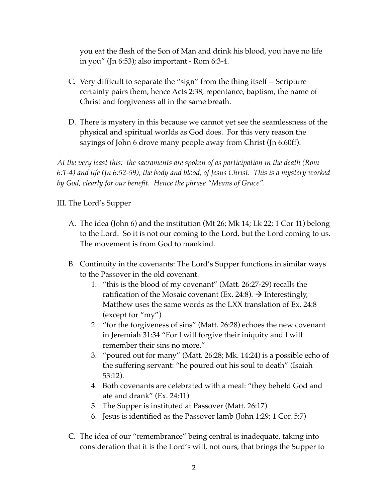you eat the flesh of the Son of Man and drink his blood, you have no life in you" (Jn 6:53); also important - Rom 6:3-4.

- C. Very difficult to separate the "sign" from the thing itself -- Scripture certainly pairs them, hence Acts 2:38, repentance, baptism, the name of Christ and forgiveness all in the same breath.
- D. There is mystery in this because we cannot yet see the seamlessness of the physical and spiritual worlds as God does. For this very reason the sayings of John 6 drove many people away from Christ (Jn 6:60ff).

*At the very least this: the sacraments are spoken of as participation in the death (Rom 6:1-4) and life (Jn 6:52-59), the body and blood, of Jesus Christ. This is a mystery worked by God, clearly for our benefit. Hence the phrase "Means of Grace".*

## III. The Lord's Supper

- A. The idea (John 6) and the institution (Mt 26; Mk 14; Lk 22; 1 Cor 11) belong to the Lord. So it is not our coming to the Lord, but the Lord coming to us. The movement is from God to mankind.
- B. Continuity in the covenants: The Lord's Supper functions in similar ways to the Passover in the old covenant.
	- 1. "this is the blood of my covenant" (Matt. 26:27-29) recalls the ratification of the Mosaic covenant (Ex. 24:8).  $\rightarrow$  Interestingly, Matthew uses the same words as the LXX translation of Ex. 24:8 (except for "my")
	- 2. "for the forgiveness of sins" (Matt. 26:28) echoes the new covenant in Jeremiah 31:34 "For I will forgive their iniquity and I will remember their sins no more."
	- 3. "poured out for many" (Matt. 26:28; Mk. 14:24) is a possible echo of the suffering servant: "he poured out his soul to death" (Isaiah 53:12).
	- 4. Both covenants are celebrated with a meal: "they beheld God and ate and drank" (Ex. 24:11)
	- 5. The Supper is instituted at Passover (Matt. 26:17)
	- 6. Jesus is identified as the Passover lamb (John 1:29; 1 Cor. 5:7)
- C. The idea of our "remembrance" being central is inadequate, taking into consideration that it is the Lord's will, not ours, that brings the Supper to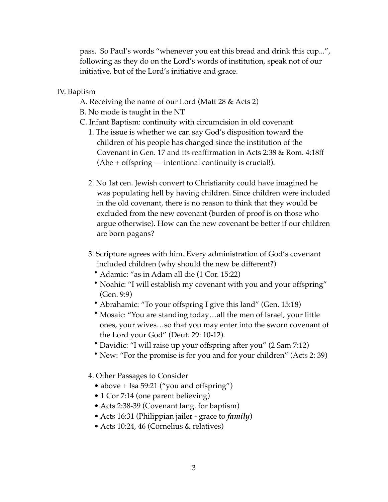pass. So Paul's words "whenever you eat this bread and drink this cup...", following as they do on the Lord's words of institution, speak not of our initiative, but of the Lord's initiative and grace.

IV. Baptism

- A. Receiving the name of our Lord (Matt 28 & Acts 2)
- B. No mode is taught in the NT
- C. Infant Baptism: continuity with circumcision in old covenant
	- 1. The issue is whether we can say God's disposition toward the children of his people has changed since the institution of the Covenant in Gen. 17 and its reaffirmation in Acts 2:38 & Rom. 4:18ff (Abe + offspring — intentional continuity is crucial!).
	- 2. No 1st cen. Jewish convert to Christianity could have imagined he was populating hell by having children. Since children were included in the old covenant, there is no reason to think that they would be excluded from the new covenant (burden of proof is on those who argue otherwise). How can the new covenant be better if our children are born pagans?
	- 3. Scripture agrees with him. Every administration of God's covenant included children (why should the new be different?)
		- Adamic: "as in Adam all die (1 Cor. 15:22)
		- Noahic: "I will establish my covenant with you and your offspring" (Gen. 9:9)
		- Abrahamic: "To your offspring I give this land" (Gen. 15:18)
		- Mosaic: "You are standing today…all the men of Israel, your little ones, your wives…so that you may enter into the sworn covenant of the Lord your God" (Deut. 29: 10-12).
		- Davidic: "I will raise up your offspring after you" (2 Sam 7:12)
		- New: "For the promise is for you and for your children" (Acts 2: 39)
	- 4. Other Passages to Consider
		- above + Isa 59:21 ("you and offspring")
		- 1 Cor 7:14 (one parent believing)
		- Acts 2:38-39 (Covenant lang. for baptism)
		- Acts 16:31 (Philippian jailer grace to *family*)
		- Acts 10:24, 46 (Cornelius & relatives)